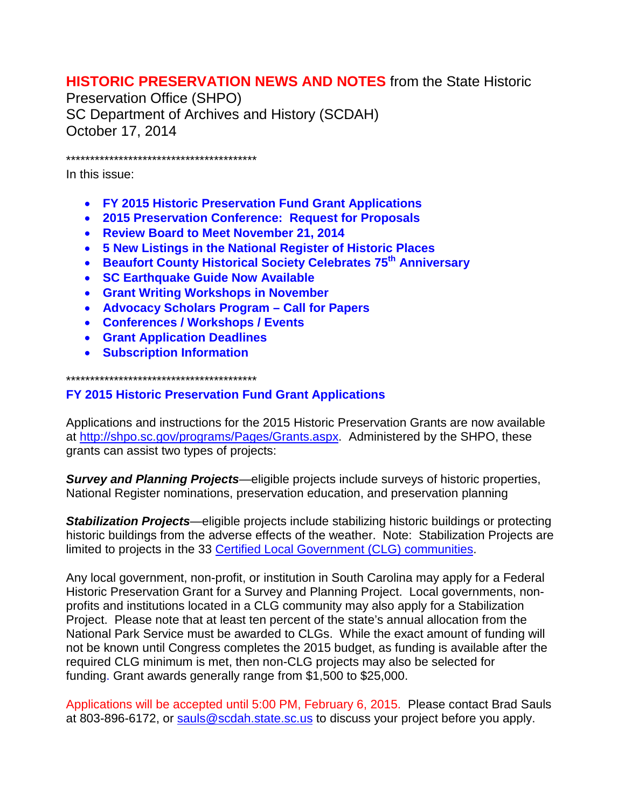# **HISTORIC PRESERVATION NEWS AND NOTES** from the State Historic

Preservation Office (SHPO) SC Department of Archives and History (SCDAH) October 17, 2014

\*\*\*\*\*\*\*\*\*\*\*\*\*\*\*\*\*\*\*\*\*\*\*\*\*\*\*\*\*\*\*\*\*\*\*\*\*\*\*\*

In this issue:

- **FY 2015 Historic Preservation Fund Grant Applications**
- **2015 Preservation Conference: Request for Proposals**
- **Review Board to Meet November 21, 2014**
- **5 New Listings in the National Register of Historic Places**
- **Beaufort County Historical Society Celebrates 75th Anniversary**
- **SC Earthquake Guide Now Available**
- **Grant Writing Workshops in November**
- **Advocacy Scholars Program – Call for Papers**
- **Conferences / Workshops / Events**
- **Grant Application Deadlines**
- **Subscription Information**

\*\*\*\*\*\*\*\*\*\*\*\*\*\*\*\*\*\*\*\*\*\*\*\*\*\*\*\*\*\*\*\*\*\*\*\*\*\*\*\*

### **FY 2015 Historic Preservation Fund Grant Applications**

Applications and instructions for the 2015 Historic Preservation Grants are now available at [http://shpo.sc.gov/programs/Pages/Grants.aspx.](http://shpo.sc.gov/programs/Pages/Grants.aspx) Administered by the SHPO, these grants can assist two types of projects:

*Survey and Planning Projects*—eligible projects include surveys of historic properties, National Register nominations, preservation education, and preservation planning

*Stabilization Projects*—eligible projects include stabilizing historic buildings or protecting historic buildings from the adverse effects of the weather. Note: Stabilization Projects are limited to projects in the 33 [Certified Local Government \(CLG\) communities.](http://shpo.sc.gov/programs/locgov/Pages/CLG.aspx)

Any local government, non-profit, or institution in South Carolina may apply for a Federal Historic Preservation Grant for a Survey and Planning Project. Local governments, nonprofits and institutions located in a CLG community may also apply for a Stabilization Project. Please note that at least ten percent of the state's annual allocation from the National Park Service must be awarded to CLGs. While the exact amount of funding will not be known until Congress completes the 2015 budget, as funding is available after the required CLG minimum is met, then non-CLG projects may also be selected for funding. Grant awards generally range from \$1,500 to \$25,000.

Applications will be accepted until 5:00 PM, February 6, 2015. Please contact Brad Sauls at 803-896-6172, or [sauls@scdah.state.sc.us](mailto:sauls@scdah.state.sc.us) to discuss your project before you apply.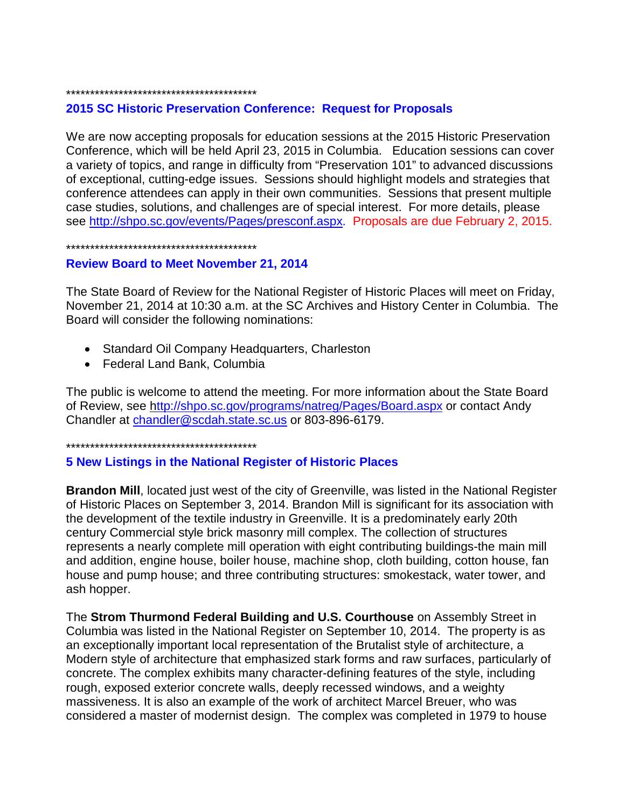#### \*\*\*\*\*\*\*\*\*\*\*\*\*\*\*\*\*\*\*\*\*\*\*\*\*\*\*\*\*\*\*\*\*\*\*\*\*\*\*\*

### **2015 SC Historic Preservation Conference: Request for Proposals**

We are now accepting proposals for education sessions at the 2015 Historic Preservation Conference, which will be held April 23, 2015 in Columbia. Education sessions can cover a variety of topics, and range in difficulty from "Preservation 101" to advanced discussions of exceptional, cutting-edge issues. Sessions should highlight models and strategies that conference attendees can apply in their own communities. Sessions that present multiple case studies, solutions, and challenges are of special interest. For more details, please see [http://shpo.sc.gov/events/Pages/presconf.aspx.](http://shpo.sc.gov/events/Pages/presconf.aspx) Proposals are due February 2, 2015.

\*\*\*\*\*\*\*\*\*\*\*\*\*\*\*\*\*\*\*\*\*\*\*\*\*\*\*\*\*\*\*\*\*\*\*\*\*\*\*\*

#### **Review Board to Meet November 21, 2014**

The State Board of Review for the National Register of Historic Places will meet on Friday, November 21, 2014 at 10:30 a.m. at the SC Archives and History Center in Columbia. The Board will consider the following nominations:

- Standard Oil Company Headquarters, Charleston
- Federal Land Bank, Columbia

The public is welcome to attend the meeting. For more information about the State Board of Review, see<http://shpo.sc.gov/programs/natreg/Pages/Board.aspx> or contact Andy Chandler at [chandler@scdah.state.sc.us](mailto:chandler@scdah.state.sc.us) or 803-896-6179.

\*\*\*\*\*\*\*\*\*\*\*\*\*\*\*\*\*\*\*\*\*\*\*\*\*\*\*\*\*\*\*\*\*\*\*\*\*\*\*\*

### **5 New Listings in the National Register of Historic Places**

**Brandon Mill**, located just west of the city of Greenville, was listed in the National Register of Historic Places on September 3, 2014. Brandon Mill is significant for its association with the development of the textile industry in Greenville. It is a predominately early 20th century Commercial style brick masonry mill complex. The collection of structures represents a nearly complete mill operation with eight contributing buildings-the main mill and addition, engine house, boiler house, machine shop, cloth building, cotton house, fan house and pump house; and three contributing structures: smokestack, water tower, and ash hopper.

The **Strom Thurmond Federal Building and U.S. Courthouse** on Assembly Street in Columbia was listed in the National Register on September 10, 2014. The property is as an exceptionally important local representation of the Brutalist style of architecture, a Modern style of architecture that emphasized stark forms and raw surfaces, particularly of concrete. The complex exhibits many character-defining features of the style, including rough, exposed exterior concrete walls, deeply recessed windows, and a weighty massiveness. It is also an example of the work of architect Marcel Breuer, who was considered a master of modernist design. The complex was completed in 1979 to house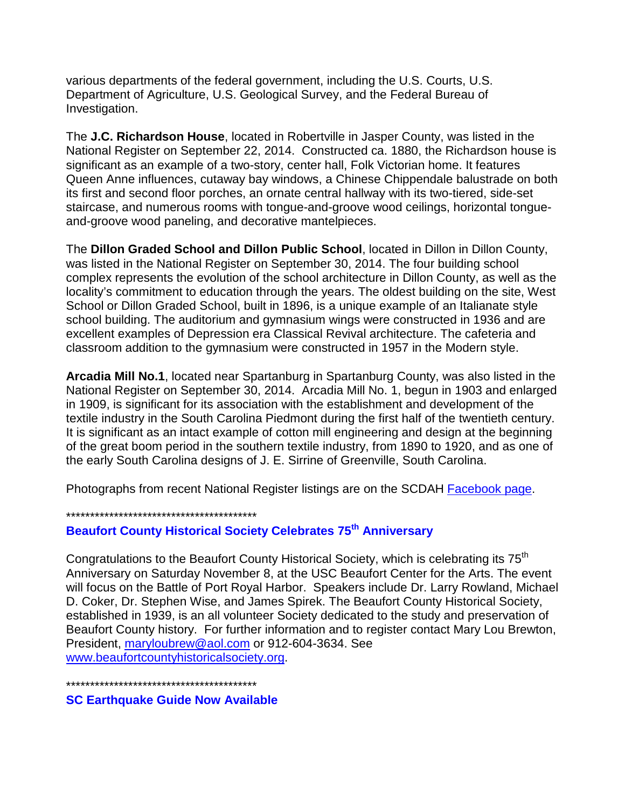various departments of the federal government, including the U.S. Courts, U.S. Department of Agriculture, U.S. Geological Survey, and the Federal Bureau of Investigation.

The **J.C. Richardson House**, located in Robertville in Jasper County, was listed in the National Register on September 22, 2014. Constructed ca. 1880, the Richardson house is significant as an example of a two-story, center hall, Folk Victorian home. It features Queen Anne influences, cutaway bay windows, a Chinese Chippendale balustrade on both its first and second floor porches, an ornate central hallway with its two-tiered, side-set staircase, and numerous rooms with tongue-and-groove wood ceilings, horizontal tongueand-groove wood paneling, and decorative mantelpieces.

The **Dillon Graded School and Dillon Public School**, located in Dillon in Dillon County, was listed in the National Register on September 30, 2014. The four building school complex represents the evolution of the school architecture in Dillon County, as well as the locality's commitment to education through the years. The oldest building on the site, West School or Dillon Graded School, built in 1896, is a unique example of an Italianate style school building. The auditorium and gymnasium wings were constructed in 1936 and are excellent examples of Depression era Classical Revival architecture. The cafeteria and classroom addition to the gymnasium were constructed in 1957 in the Modern style.

**Arcadia Mill No.1**, located near Spartanburg in Spartanburg County, was also listed in the National Register on September 30, 2014. Arcadia Mill No. 1, begun in 1903 and enlarged in 1909, is significant for its association with the establishment and development of the textile industry in the South Carolina Piedmont during the first half of the twentieth century. It is significant as an intact example of cotton mill engineering and design at the beginning of the great boom period in the southern textile industry, from 1890 to 1920, and as one of the early South Carolina designs of J. E. Sirrine of Greenville, South Carolina.

Photographs from recent National Register listings are on the SCDAH [Facebook page.](https://www.facebook.com/pages/South-Carolina-Department-of-Archives-and-History/118232443651)

### \*\*\*\*\*\*\*\*\*\*\*\*\*\*\*\*\*\*\*\*\*\*\*\*\*\*\*\*\*\*\*\*\*\*\*\*\*\*\*\*

# **Beaufort County Historical Society Celebrates 75th Anniversary**

Congratulations to the Beaufort County Historical Society, which is celebrating its 75<sup>th</sup> Anniversary on Saturday November 8, at the USC Beaufort Center for the Arts. The event will focus on the Battle of Port Royal Harbor. Speakers include Dr. Larry Rowland, Michael D. Coker, Dr. Stephen Wise, and James Spirek. The Beaufort County Historical Society, established in 1939, is an all volunteer Society dedicated to the study and preservation of Beaufort County history. For further information and to register contact Mary Lou Brewton, President, [maryloubrew@aol.com](mailto:maryloubrew@aol.com) or 912-604-3634. See [www.beaufortcountyhistoricalsociety.org.](http://www.beaufortcountyhistoricalsociety.org/)

\*\*\*\*\*\*\*\*\*\*\*\*\*\*\*\*\*\*\*\*\*\*\*\*\*\*\*\*\*\*\*\*\*\*\*\*\*\*\*\*

**SC Earthquake Guide Now Available**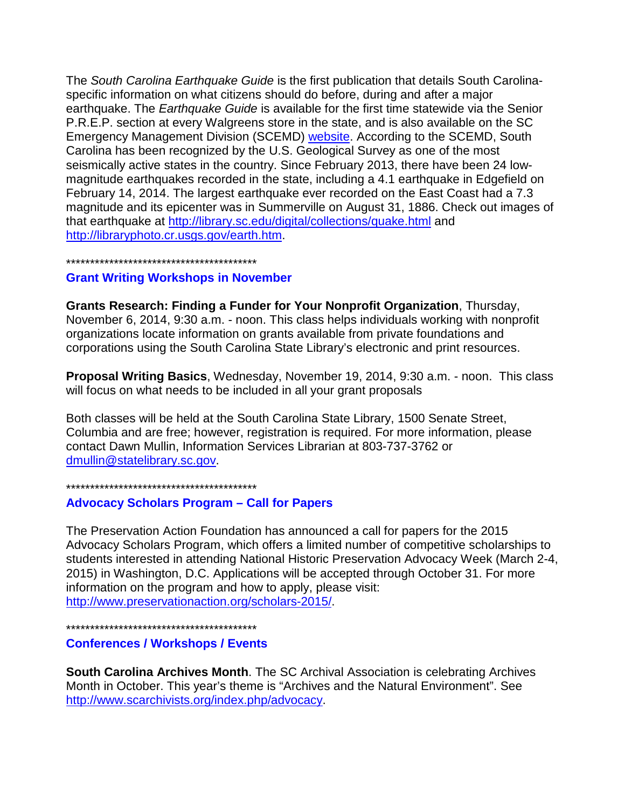The *South Carolina Earthquake Guide* is the first publication that details South Carolinaspecific information on what citizens should do before, during and after a major earthquake. The *Earthquake Guide* is available for the first time statewide via the Senior P.R.E.P. section at every Walgreens store in the state, and is also available on the SC Emergency Management Division (SCEMD) [website.](http://www.scemd.org/?option=com_content&view=article&id=133:south-carolina-earthquake-guide&catid=21:public-information) According to the SCEMD, South Carolina has been recognized by the U.S. Geological Survey as one of the most seismically active states in the country. Since February 2013, there have been 24 lowmagnitude earthquakes recorded in the state, including a 4.1 earthquake in Edgefield on February 14, 2014. The largest earthquake ever recorded on the East Coast had a 7.3 magnitude and its epicenter was in Summerville on August 31, 1886. Check out images of that earthquake at<http://library.sc.edu/digital/collections/quake.html> and [http://libraryphoto.cr.usgs.gov/earth.htm.](http://libraryphoto.cr.usgs.gov/earth.htm)

\*\*\*\*\*\*\*\*\*\*\*\*\*\*\*\*\*\*\*\*\*\*\*\*\*\*\*\*\*\*\*\*\*\*\*\*\*\*\*\*

#### **Grant Writing Workshops in November**

**Grants Research: Finding a Funder for Your Nonprofit Organization**, Thursday, November 6, 2014, 9:30 a.m. - noon. This class helps individuals working with nonprofit organizations locate information on grants available from private foundations and corporations using the South Carolina State Library's electronic and print resources.

**Proposal Writing Basics**, Wednesday, November 19, 2014, 9:30 a.m. - noon. This class will focus on what needs to be included in all your grant proposals

Both classes will be held at the South Carolina State Library, 1500 Senate Street, Columbia and are free; however, registration is required. For more information, please contact Dawn Mullin, Information Services Librarian at 803-737-3762 or [dmullin@statelibrary.sc.gov.](mailto:dmullin@statelibrary.sc.gov)

\*\*\*\*\*\*\*\*\*\*\*\*\*\*\*\*\*\*\*\*\*\*\*\*\*\*\*\*\*\*\*\*\*\*\*\*\*\*\*\*

### **Advocacy Scholars Program – Call for Papers**

The Preservation Action Foundation has announced a call for papers for the 2015 Advocacy Scholars Program, which offers a limited number of competitive scholarships to students interested in attending National Historic Preservation Advocacy Week (March 2-4, 2015) in Washington, D.C. Applications will be accepted through October 31. For more information on the program and how to apply, please visit: [http://www.preservationaction.org/scholars-2015/.](http://www.preservationaction.org/scholars-2015/)

\*\*\*\*\*\*\*\*\*\*\*\*\*\*\*\*\*\*\*\*\*\*\*\*\*\*\*\*\*\*\*\*\*\*\*\*\*\*\*\*

### **Conferences / Workshops / Events**

**South Carolina Archives Month**. The SC Archival Association is celebrating Archives Month in October. This year's theme is "Archives and the Natural Environment". See [http://www.scarchivists.org/index.php/advocacy.](http://www.scarchivists.org/index.php/advocacy)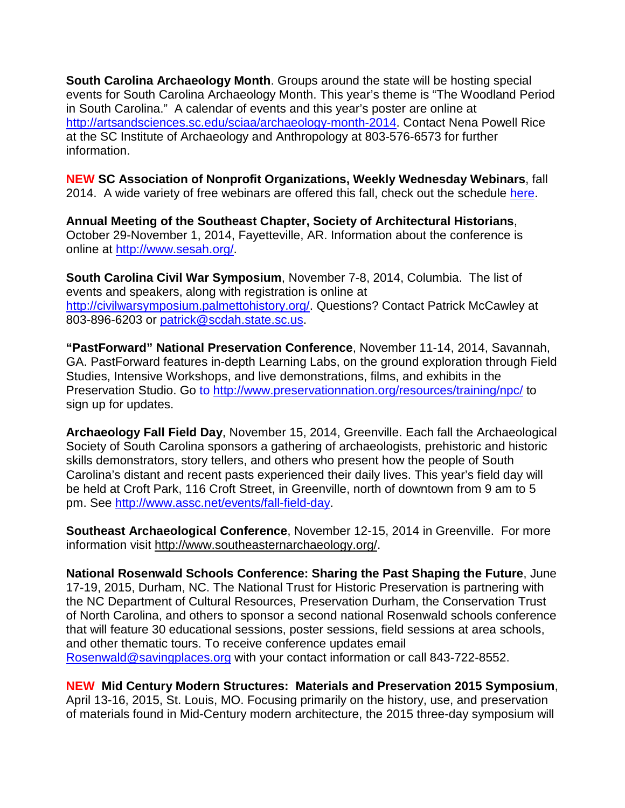**South Carolina Archaeology Month**. Groups around the state will be hosting special events for South Carolina Archaeology Month. This year's theme is "The Woodland Period in South Carolina." A calendar of events and this year's poster are online at [http://artsandsciences.sc.edu/sciaa/archaeology-month-2014.](http://artsandsciences.sc.edu/sciaa/archaeology-month-2014) Contact Nena Powell Rice at the SC Institute of Archaeology and Anthropology at 803-576-6573 for further information.

**NEW SC Association of Nonprofit Organizations, Weekly Wednesday Webinars**, fall 2014. A wide variety of free webinars are offered this fall, check out the schedule [here.](http://www.scanpo.org/building-the-knowledge-network/weekly-wednesday-webinars/?utm_source=Knowledge+Network+Training+Calendar+-+10.8.14&utm_campaign=August+-+Knowledge+Network+Calendar&utm_medium=email)

**Annual Meeting of the Southeast Chapter, Society of Architectural Historians**, October 29-November 1, 2014, Fayetteville, AR. Information about the conference is online at [http://www.sesah.org/.](http://www.sesah.org/)

**South Carolina Civil War Symposium**, November 7-8, 2014, Columbia. The list of events and speakers, along with registration is online at [http://civilwarsymposium.palmettohistory.org/.](http://civilwarsymposium.palmettohistory.org/) Questions? Contact Patrick McCawley at 803-896-6203 or [patrick@scdah.state.sc.us.](mailto:patrick@scdah.state.sc.us)

**"PastForward" National Preservation Conference**, November 11-14, 2014, Savannah, GA. PastForward features in-depth Learning Labs, on the ground exploration through Field Studies, Intensive Workshops, and live demonstrations, films, and exhibits in the Preservation Studio. Go to <http://www.preservationnation.org/resources/training/npc/> to sign up for updates.

**Archaeology Fall Field Day**, November 15, 2014, Greenville. Each fall the Archaeological Society of South Carolina sponsors a gathering of archaeologists, prehistoric and historic skills demonstrators, story tellers, and others who present how the people of South Carolina's distant and recent pasts experienced their daily lives. This year's field day will be held at Croft Park, 116 Croft Street, in Greenville, north of downtown from 9 am to 5 pm. See [http://www.assc.net/events/fall-field-day.](http://www.assc.net/events/fall-field-day)

**Southeast Archaeological Conference**, November 12-15, 2014 in Greenville. For more information visit [http://www.southeasternarchaeology.org/.](http://www.southeasternarchaeology.org/)

**National Rosenwald Schools Conference: Sharing the Past Shaping the Future**, June 17-19, 2015, Durham, NC. The National Trust for Historic Preservation is partnering with the NC Department of Cultural Resources, Preservation Durham, the Conservation Trust of North Carolina, and others to sponsor a second national Rosenwald schools conference that will feature 30 educational sessions, poster sessions, field sessions at area schools, and other thematic tours. To receive conference updates email [Rosenwald@savingplaces.org](mailto:Rosenwald@savingplaces.org) with your contact information or call 843-722-8552.

**NEW Mid Century Modern Structures: Materials and Preservation 2015 Symposium**, April 13-16, 2015, St. Louis, MO. Focusing primarily on the history, use, and preservation of materials found in Mid-Century modern architecture, the 2015 three-day symposium will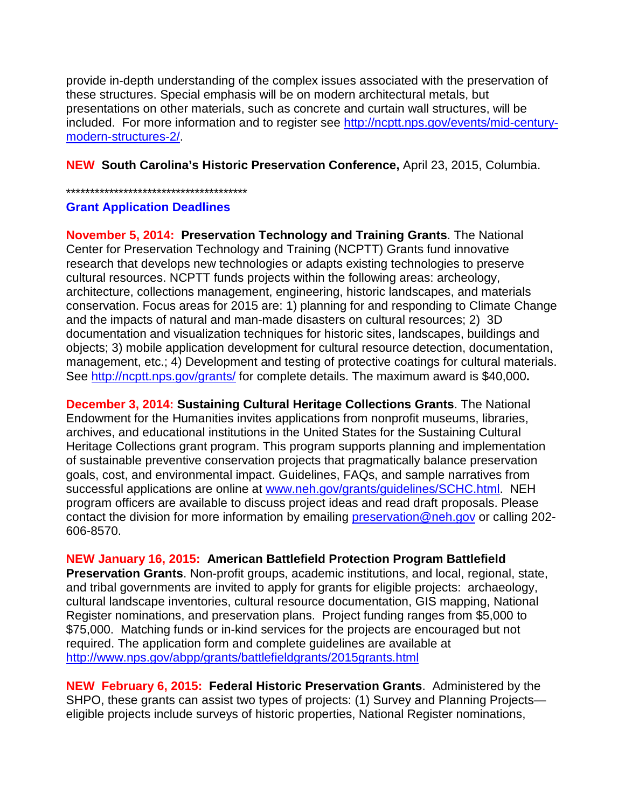provide in-depth understanding of the complex issues associated with the preservation of these structures. Special emphasis will be on modern architectural metals, but presentations on other materials, such as concrete and curtain wall structures, will be included. For more information and to register see [http://ncptt.nps.gov/events/mid-century](http://ncptt.nps.gov/events/mid-century-modern-structures-2/)[modern-structures-2/.](http://ncptt.nps.gov/events/mid-century-modern-structures-2/)

**NEW South Carolina's Historic Preservation Conference,** April 23, 2015, Columbia.

\*\*\*\*\*\*\*\*\*\*\*\*\*\*\*\*\*\*\*\*\*\*\*\*\*\*\*\*\*\*\*\*\*\*\*\*\*\*

### **Grant Application Deadlines**

**November 5, 2014: Preservation Technology and Training Grants**. The National Center for Preservation Technology and Training (NCPTT) Grants fund innovative research that develops new technologies or adapts existing technologies to preserve cultural resources. NCPTT funds projects within the following areas: archeology, architecture, collections management, engineering, historic landscapes, and materials conservation. Focus areas for 2015 are: 1) planning for and responding to Climate Change and the impacts of natural and man-made disasters on cultural resources; 2) 3D documentation and visualization techniques for historic sites, landscapes, buildings and objects; 3) mobile application development for cultural resource detection, documentation, management, etc.; 4) Development and testing of protective coatings for cultural materials. See<http://ncptt.nps.gov/grants/> for complete details. The maximum award is \$40,000**.**

**December 3, 2014: Sustaining Cultural Heritage Collections Grants**. The National Endowment for the Humanities invites applications from nonprofit museums, libraries, archives, and educational institutions in the United States for the Sustaining Cultural Heritage Collections grant program. This program supports planning and implementation of sustainable preventive conservation projects that pragmatically balance preservation goals, cost, and environmental impact. Guidelines, FAQs, and sample narratives from successful applications are online at [www.neh.gov/grants/guidelines/SCHC.html.](http://www.neh.gov/grants/guidelines/SCHC.html) NEH program officers are available to discuss project ideas and read draft proposals. Please contact the division for more information by emailing [preservation@neh.gov](mailto:preservation@neh.gov) or calling [202-](tel:202-606-8570) [606-8570.](tel:202-606-8570)

**NEW January 16, 2015: American Battlefield Protection Program Battlefield** 

**Preservation Grants**. Non-profit groups, academic institutions, and local, regional, state, and tribal governments are invited to apply for grants for eligible projects: archaeology, cultural landscape inventories, cultural resource documentation, GIS mapping, National Register nominations, and preservation plans. Project funding ranges from \$5,000 to \$75,000. Matching funds or in-kind services for the projects are encouraged but not required. The application form and complete guidelines are available at <http://www.nps.gov/abpp/grants/battlefieldgrants/2015grants.html>

**NEW February 6, 2015: Federal Historic Preservation Grants**. Administered by the SHPO, these grants can assist two types of projects: (1) Survey and Planning Projectseligible projects include surveys of historic properties, National Register nominations,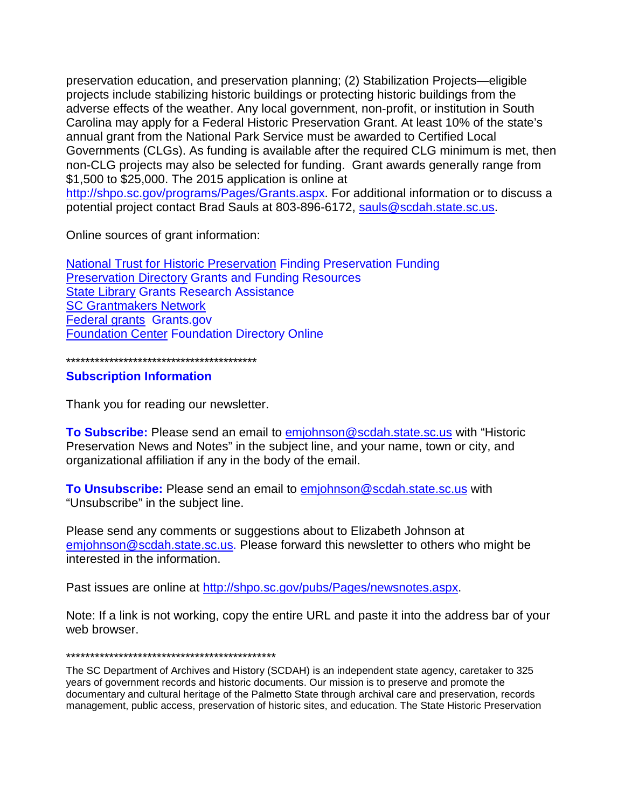preservation education, and preservation planning; (2) Stabilization Projects—eligible projects include stabilizing historic buildings or protecting historic buildings from the adverse effects of the weather. Any local government, non-profit, or institution in South Carolina may apply for a Federal Historic Preservation Grant. At least 10% of the state's annual grant from the National Park Service must be awarded to Certified Local Governments (CLGs). As funding is available after the required CLG minimum is met, then non-CLG projects may also be selected for funding. Grant awards generally range from \$1,500 to \$25,000. The 2015 application is online at [http://shpo.sc.gov/programs/Pages/Grants.aspx.](http://shpo.sc.gov/programs/Pages/Grants.aspx) For additional information or to discuss a

potential project contact Brad Sauls at 803-896-6172, [sauls@scdah.state.sc.us.](mailto:sauls@scdah.state.sc.us)

Online sources of grant information:

**[National Trust for Historic Preservation](http://www.preservationnation.org/resources/find-funding/) Finding Preservation Funding** [Preservation Directory](http://www.preservationdirectory.com/PreservationGeneralResources/GrantsFundingSources.aspx) Grants and Funding Resources [State Library](http://www.statelibrary.sc.gov/grants-research-assistance) Grants Research Assistance [SC Grantmakers Network](http://www.scgrantmakers.com/) [Federal grants](http://www.grants.gov/) Grants.gov [Foundation Center](http://foundationcenter.org/) Foundation Directory Online

\*\*\*\*\*\*\*\*\*\*\*\*\*\*\*\*\*\*\*\*\*\*\*\*\*\*\*\*\*\*\*\*\*\*\*\*\*\*\*\*

### **Subscription Information**

Thank you for reading our newsletter.

**To Subscribe:** Please send an email to [emjohnson@scdah.state.sc.us](mailto:emjohnson@scdah.state.sc.us) with "Historic Preservation News and Notes" in the subject line, and your name, town or city, and organizational affiliation if any in the body of the email.

**To Unsubscribe:** Please send an email to [emjohnson@scdah.state.sc.us](mailto:emjohnson@scdah.state.sc.us) with "Unsubscribe" in the subject line.

Please send any comments or suggestions about to Elizabeth Johnson at [emjohnson@scdah.state.sc.us.](mailto:emjohnson@scdah.state.sc.us) Please forward this newsletter to others who might be interested in the information.

Past issues are online at [http://shpo.sc.gov/pubs/Pages/newsnotes.aspx.](http://shpo.sc.gov/pubs/Pages/newsnotes.aspx)

Note: If a link is not working, copy the entire URL and paste it into the address bar of your web browser.

# \*\*\*\*\*\*\*\*\*\*\*\*\*\*\*\*\*\*\*\*\*\*\*\*\*\*\*\*\*\*\*\*\*\*\*\*\*\*\*\*\*\*\*\*

The SC Department of Archives and History (SCDAH) is an independent state agency, caretaker to 325 years of government records and historic documents. Our mission is to preserve and promote the documentary and cultural heritage of the Palmetto State through archival care and preservation, records management, public access, preservation of historic sites, and education. The State Historic Preservation